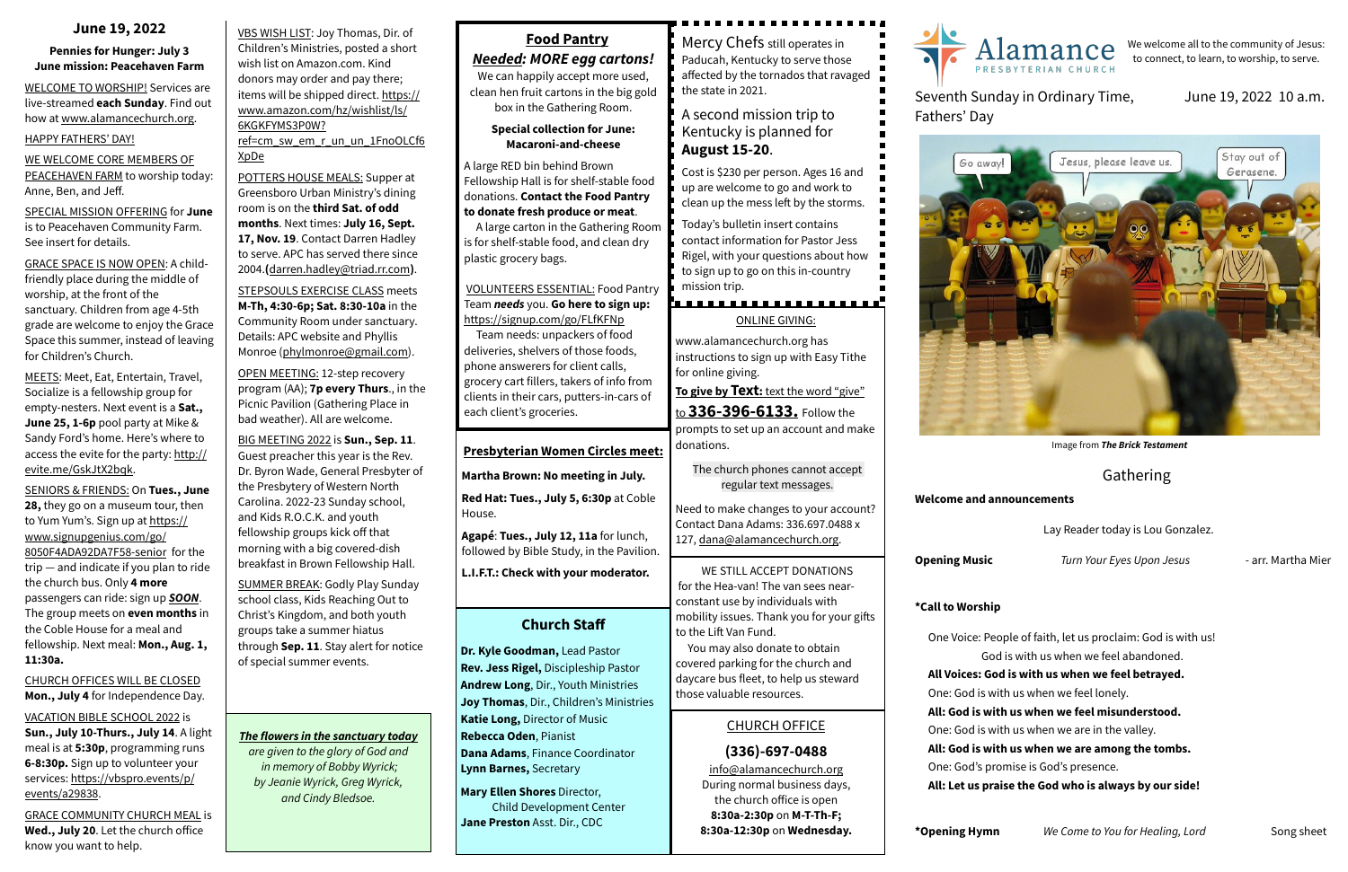VBS WISH LIST: Joy Thomas, Dir. of Children's Ministries, posted a short wish list on Amazon.com. Kind donors may order and pay there; [items will be shipped direct. https://](https://www.amazon.com/hz/wishlist/ls/6KGKFYMS3P0W?ref=cm_sw_em_r_un_un_1FnoOLCf6XpDe) [www.amazon.com/hz/wishlist/ls/](https://www.amazon.com/hz/wishlist/ls/6KGKFYMS3P0W?ref=cm_sw_em_r_un_un_1FnoOLCf6XpDe) [6KGKFYMS3P0W?](https://www.amazon.com/hz/wishlist/ls/6KGKFYMS3P0W?ref=cm_sw_em_r_un_un_1FnoOLCf6XpDe) [ref=cm\\_sw\\_em\\_r\\_un\\_un\\_1FnoOLCf6](https://www.amazon.com/hz/wishlist/ls/6KGKFYMS3P0W?ref=cm_sw_em_r_un_un_1FnoOLCf6XpDe)

[XpDe](https://www.amazon.com/hz/wishlist/ls/6KGKFYMS3P0W?ref=cm_sw_em_r_un_un_1FnoOLCf6XpDe)

POTTERS HOUSE MEALS: Supper at Greensboro Urban Ministry's dining room is on the **third Sat. of odd months**. Next times: **July 16, Sept.**  17, Nov. 19. Contact Darren Hadley to serve. APC has served there since 2004.**(**[darren.hadley@triad.rr.com](mailto:darren.hadley@triad.rr.com)**)**.

STEPSOULS EXERCISE CLASS meets **M-Th, 4:30-6p; Sat. 8:30-10a** in the Community Room under sanctuary. Details: APC website and Phyllis Monroe ([phylmonroe@gmail.com](mailto:phylmonroe@gmail.com)).

OPEN MEETING: 12-step recovery program (AA); **7p every Thurs**., in the Picnic Pavilion (Gathering Place in bad weather). All are welcome.

BIG MEETING 2022 is **Sun., Sep. 11**. Guest preacher this year is the Rev. Dr. Byron Wade, General Presbyter of the Presbytery of Western North Carolina. 2022-23 Sunday school, and Kids R.O.C.K. and youth fellowship groups kick off that morning with a big covered-dish breakfast in Brown Fellowship Hall.

SUMMER BREAK: Godly Play Sunday school class, Kids Reaching Out to Christ's Kingdom, and both youth groups take a summer hiatus through **Sep. 11**. Stay alert for notice of special summer events.

#### **June 19, 2022**

#### **Pennies for Hunger: July 3 June mission: Peacehaven Farm**

WELCOME TO WORSHIP! Services are live-streamed **each Sunday**. Find out how at [www.alamancechurch.org](http://www.alamancechurch.org).

#### HAPPY FATHERS' DAY!

#### WE WELCOME CORE MEMBERS OF PEACEHAVEN FARM to worship today: Anne, Ben, and Jeff.

SPECIAL MISSION OFFERING for **June** is to Peacehaven Community Farm. See insert for details.

GRACE SPACE IS NOW OPEN: A childfriendly place during the middle of worship, at the front of the sanctuary. Children from age 4-5th grade are welcome to enjoy the Grace Space this summer, instead of leaving for Children's Church.

MEETS: Meet, Eat, Entertain, Travel, Socialize is a fellowship group for empty-nesters. Next event is a **Sat., June 25, 1-6p** pool party at Mike & Sandy Ford's home. Here's where to access the evite for the party: [http://](http://evite.me/GskJtX2bqk) [evite.me/GskJtX2bqk.](http://evite.me/GskJtX2bqk)

SENIORS & FRIENDS: On **Tues., June 28,** they go on a museum tour, then [to Yum Yum's. Sign up at https://](https://www.signupgenius.com/go/8050F4ADA92DA7F58-senior) [www.signupgenius.com/go/](https://www.signupgenius.com/go/8050F4ADA92DA7F58-senior) [8050F4ADA92DA7F58-senior](https://www.signupgenius.com/go/8050F4ADA92DA7F58-senior) for the trip — and indicate if you plan to ride the church bus. Only **4 more** passengers can ride: sign up *SOON*. The group meets on **even months** in the Coble House for a meal and fellowship. Next meal: **Mon., Aug. 1, 11:30a.**

#### CHURCH OFFICES WILL BE CLOSED **Mon., July 4** for Independence Day.

#### VACATION BIBLE SCHOOL 2022 is

**Sun., July 10-Thurs., July 14**. A light meal is at **5:30p**, programming runs **6-8:30p.** Sign up to volunteer your [services: https://vbspro.events/p/](https://vbspro.events/p/events/a29838) [events/a29838](https://vbspro.events/p/events/a29838).

GRACE COMMUNITY CHURCH MEAL is **Wed., July 20**. Let the church office know you want to help.

### **Church Staff**

**Dr. Kyle Goodman,** Lead Pastor **Rev. Jess Rigel,** Discipleship Pastor **Andrew Long**, Dir., Youth Ministries **Joy Thomas**, Dir., Children's Ministries **Katie Long,** Director of Music **Rebecca Oden**, Pianist **Dana Adams**, Finance Coordinator **Lynn Barnes,** Secretary

**Mary Ellen Shores** Director, Child Development Center **Jane Preston** Asst. Dir., CDC

#### CHURCH OFFICE

#### **(336)-697-0488**

[info@alamancechurch.org](mailto:info@alamancechurch.org) During normal business days, the church office is open **8:30a-2:30p** on **M-T-Th-F; 8:30a-12:30p** on **Wednesday.**

### Gathering

#### **Welcome and announcements**

Lay Reader today is Lou Gonzalez.

**Opening Music** *Turn Your Eyes Upon Jesus* - arr. Martha Mier

#### **\*Call to Worship**

lamance PRESBYTERIAN CHURCH

- One Voice: People of faith, let us proclaim: God is with us! God is with us when we feel abandoned. **All Voices: God is with us when we feel betrayed.** One: God is with us when we feel lonely. **All: God is with us when we feel misunderstood.** One: God is with us when we are in the valley. **All: God is with us when we are among the tombs.** One: God's promise is God's presence. **All: Let us praise the God who is always by our side!**
- **\*Opening Hymn** *We Come to You for Healing, Lord* Song sheet

# Seventh Sunday in Ordinary Time,





#### June 19, 2022 10 a.m.



# **Food Pantry**

*Needed: MORE egg cartons!*

We can happily accept more used, clean hen fruit cartons in the big gold box in the Gathering Room.

#### **Special collection for June: Macaroni-and-cheese**

A large RED bin behind Brown Fellowship Hall is for shelf-stable food donations. **Contact the Food Pantry to donate fresh produce or meat**.

A large carton in the Gathering Room is for shelf-stable food, and clean dry plastic grocery bags.

#### VOLUNTEERS ESSENTIAL: Food Pantry Team *needs* you. **Go here to sign up:**  <https://signup.com/go/FLfKFNp>

 Team needs: unpackers of food deliveries, shelvers of those foods, phone answerers for client calls, grocery cart fillers, takers of info from clients in their cars, putters-in-cars of each client's groceries.

#### ONLINE GIVING:

[www.alamancechurch.org](http://www.alamancechurch.org) has instructions to sign up with Easy Tithe for online giving.

**To give by Text:** text the word "give"

to **336-396-6133.** Follow the prompts to set up an account and make donations.

The church phones cannot accept regular text messages.

Need to make changes to your account? Contact Dana Adams: 336.697.0488 x 127, [dana@alamancechurch.org.](mailto:dana@alamancechurch.org)

#### **Presbyterian Women Circles meet:**

**Martha Brown: No meeting in July.**

**Red Hat: Tues., July 5, 6:30p** at Coble House.

**Agapé**: **Tues., July 12, 11a** for lunch, followed by Bible Study, in the Pavilion.

**L.I.F.T.: Check with your moderator.**

We welcome all to the community of Jesus: to connect, to learn, to worship, to serve.

Mercy Chefs still operates in Paducah, Kentucky to serve those affected by the tornados that ravaged the state in 2021.

#### A second mission trip to Kentucky is planned for **August 15-20**.

Cost is \$230 per person. Ages 16 and up are welcome to go and work to clean up the mess left by the storms.

Today's bulletin insert contains contact information for Pastor Jess Rigel, with your questions about how to sign up to go on this in-country mission trip.

WE STILL ACCEPT DONATIONS for the Hea-van! The van sees nearconstant use by individuals with mobility issues. Thank you for your gifts to the Lift Van Fund.

 You may also donate to obtain covered parking for the church and daycare bus fleet, to help us steward those valuable resources.

## *The flowers in the sanctuary today*

*are given to the glory of God and in memory of Bobby Wyrick; by Jeanie Wyrick, Greg Wyrick, and Cindy Bledsoe.*

Image from *The Brick Testament*